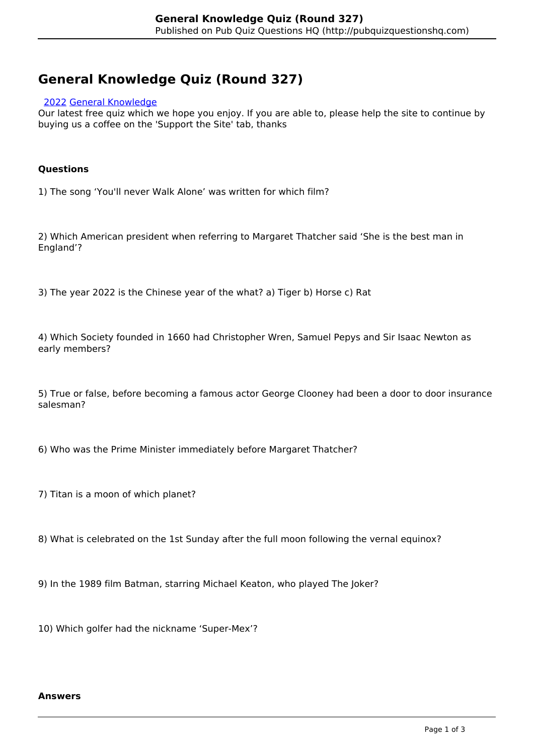# **General Knowledge Quiz (Round 327)**

# [2022](http://pubquizquestionshq.com/categories/2022) [General Knowledge](http://pubquizquestionshq.com/categories/general-knowledge)

Our latest free quiz which we hope you enjoy. If you are able to, please help the site to continue by buying us a coffee on the 'Support the Site' tab, thanks

# **Questions**

1) The song 'You'll never Walk Alone' was written for which film?

2) Which American president when referring to Margaret Thatcher said 'She is the best man in England'?

3) The year 2022 is the Chinese year of the what? a) Tiger b) Horse c) Rat

4) Which Society founded in 1660 had Christopher Wren, Samuel Pepys and Sir Isaac Newton as early members?

5) True or false, before becoming a famous actor George Clooney had been a door to door insurance salesman?

6) Who was the Prime Minister immediately before Margaret Thatcher?

7) Titan is a moon of which planet?

8) What is celebrated on the 1st Sunday after the full moon following the vernal equinox?

9) In the 1989 film Batman, starring Michael Keaton, who played The Joker?

10) Which golfer had the nickname 'Super-Mex'?

#### **Answers**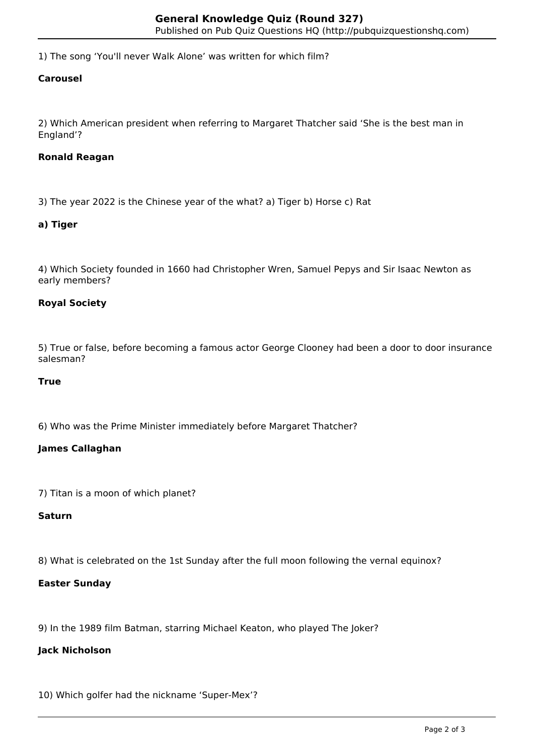1) The song 'You'll never Walk Alone' was written for which film?

# **Carousel**

2) Which American president when referring to Margaret Thatcher said 'She is the best man in England'?

# **Ronald Reagan**

3) The year 2022 is the Chinese year of the what? a) Tiger b) Horse c) Rat

# **a) Tiger**

4) Which Society founded in 1660 had Christopher Wren, Samuel Pepys and Sir Isaac Newton as early members?

# **Royal Society**

5) True or false, before becoming a famous actor George Clooney had been a door to door insurance salesman?

#### **True**

6) Who was the Prime Minister immediately before Margaret Thatcher?

#### **James Callaghan**

7) Titan is a moon of which planet?

# **Saturn**

8) What is celebrated on the 1st Sunday after the full moon following the vernal equinox?

#### **Easter Sunday**

9) In the 1989 film Batman, starring Michael Keaton, who played The Joker?

#### **Jack Nicholson**

10) Which golfer had the nickname 'Super-Mex'?